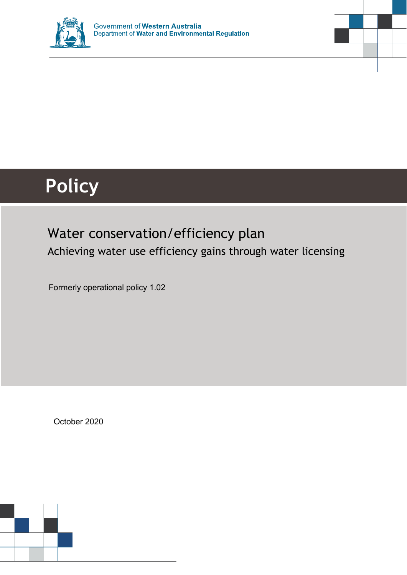



# **Policy**

### Water conservation/efficiency plan Achieving water use efficiency gains through water licensing

Formerly operational policy 1.02

October 2020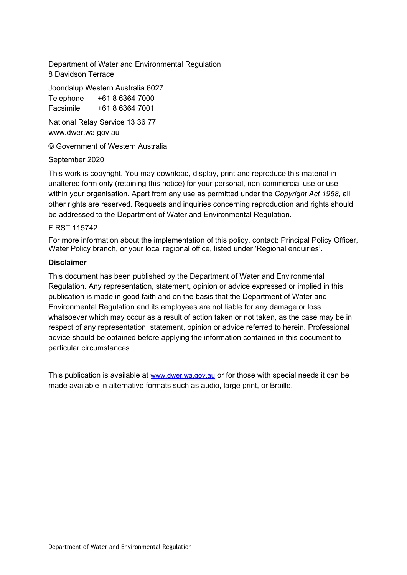Department of Water and Environmental Regulation 8 Davidson Terrace

Joondalup Western Australia 6027

Telephone +61 8 6364 7000 Facsimile +61 8 6364 7001

National Relay Service 13 36 77 www.dwer.wa.gov.au

© Government of Western Australia

#### September 2020

This work is copyright. You may download, display, print and reproduce this material in unaltered form only (retaining this notice) for your personal, non-commercial use or use within your organisation. Apart from any use as permitted under the *Copyright Act 1968*, all other rights are reserved. Requests and inquiries concerning reproduction and rights should be addressed to the Department of Water and Environmental Regulation.

#### FIRST 115742

For more information about the implementation of this policy, contact: Principal Policy Officer, Water Policy branch, or your local regional office, listed under ['Regional enquiries'.](#page-41-0)

#### **Disclaimer**

This document has been published by the Department of Water and Environmental Regulation. Any representation, statement, opinion or advice expressed or implied in this publication is made in good faith and on the basis that the Department of Water and Environmental Regulation and its employees are not liable for any damage or loss whatsoever which may occur as a result of action taken or not taken, as the case may be in respect of any representation, statement, opinion or advice referred to herein. Professional advice should be obtained before applying the information contained in this document to particular circumstances.

This publication is available at [www.dwer.wa.gov.au](http://www.dwer.wa.gov.au/) or for those with special needs it can be made available in alternative formats such as audio, large print, or Braille.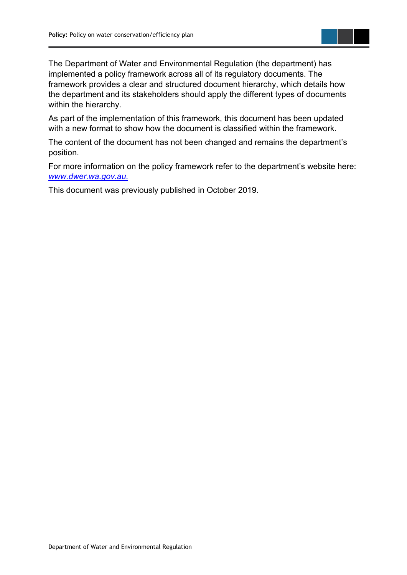

The Department of Water and Environmental Regulation (the department) has implemented a policy framework across all of its regulatory documents. The framework provides a clear and structured document hierarchy, which details how the department and its stakeholders should apply the different types of documents within the hierarchy.

As part of the implementation of this framework, this document has been updated with a new format to show how the document is classified within the framework.

The content of the document has not been changed and remains the department's position.

For more information on the policy framework refer to the department's website here: *[www.dwer.wa.gov.au.](http://www.dwer.wa.gov.au./)* 

This document was previously published in October 2019.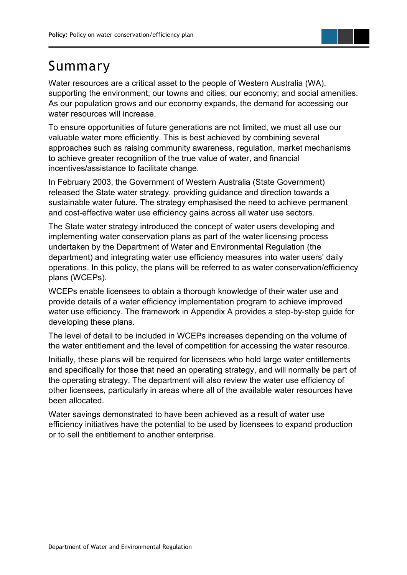

### <span id="page-3-0"></span>Summary

Water resources are a critical asset to the people of Western Australia (WA), supporting the environment; our towns and cities; our economy; and social amenities. As our population grows and our economy expands, the demand for accessing our water resources will increase.

To ensure opportunities of future generations are not limited, we must all use our valuable water more efficiently. This is best achieved by combining several approaches such as raising community awareness, regulation, market mechanisms to achieve greater recognition of the true value of water, and financial incentives/assistance to facilitate change.

In February 2003, the Government of Western Australia (State Government) released the State water strategy, providing guidance and direction towards a sustainable water future. The strategy emphasised the need to achieve permanent and cost-effective water use efficiency gains across all water use sectors.

The State water strategy introduced the concept of water users developing and implementing water conservation plans as part of the water licensing process undertaken by the Department of Water and Environmental Regulation (the department) and integrating water use efficiency measures into water users' daily operations. In this policy, the plans will be referred to as water conservation/efficiency plans (WCEPs).

WCEPs enable licensees to obtain a thorough knowledge of their water use and provide details of a water efficiency implementation program to achieve improved water use efficiency. The framework in Appendix A provides a step-by-step guide for developing these plans.

The level of detail to be included in WCEPs increases depending on the volume of the water entitlement and the level of competition for accessing the water resource.

Initially, these plans will be required for licensees who hold large water entitlements and specifically for those that need an operating strategy, and will normally be part of the operating strategy. The department will also review the water use efficiency of other licensees, particularly in areas where all of the available water resources have been allocated.

Water savings demonstrated to have been achieved as a result of water use efficiency initiatives have the potential to be used by licensees to expand production or to sell the entitlement to another enterprise.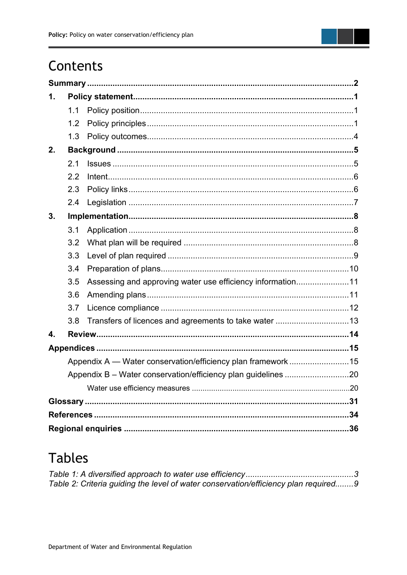

### Contents

| 1. |     |                                                              |  |
|----|-----|--------------------------------------------------------------|--|
|    | 1.1 |                                                              |  |
|    | 12  |                                                              |  |
|    | 1.3 |                                                              |  |
| 2. |     |                                                              |  |
|    | 2.1 |                                                              |  |
|    | 2.2 |                                                              |  |
|    | 2.3 |                                                              |  |
|    | 2.4 |                                                              |  |
| 3. |     |                                                              |  |
|    | 3.1 |                                                              |  |
|    | 3.2 |                                                              |  |
|    | 3.3 |                                                              |  |
|    | 3.4 |                                                              |  |
|    | 3.5 | Assessing and approving water use efficiency information11   |  |
|    | 3.6 |                                                              |  |
|    | 3.7 |                                                              |  |
|    | 3.8 |                                                              |  |
| 4. |     |                                                              |  |
|    |     |                                                              |  |
|    |     | Appendix A - Water conservation/efficiency plan framework 15 |  |
|    |     |                                                              |  |
|    |     |                                                              |  |
|    |     |                                                              |  |
|    |     |                                                              |  |
|    |     |                                                              |  |

### **Tables**

| Table 2: Criteria guiding the level of water conservation/efficiency plan required9 |  |
|-------------------------------------------------------------------------------------|--|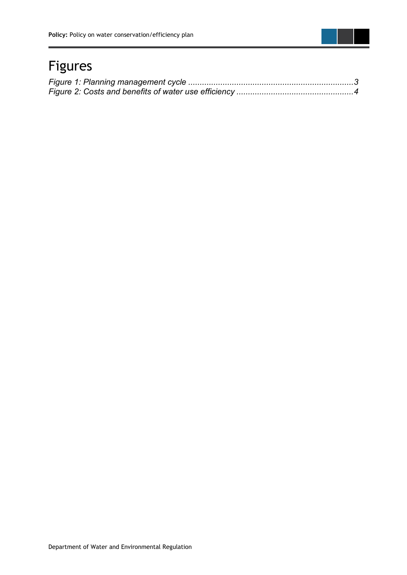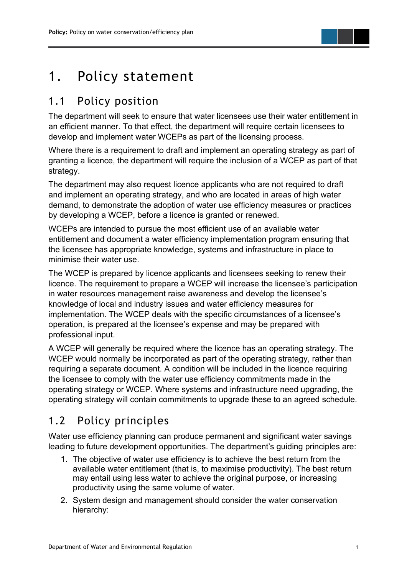### <span id="page-6-0"></span>1. Policy statement

### <span id="page-6-1"></span>1.1 Policy position

The department will seek to ensure that water licensees use their water entitlement in an efficient manner. To that effect, the department will require certain licensees to develop and implement water WCEPs as part of the licensing process.

Where there is a requirement to draft and implement an operating strategy as part of granting a licence, the department will require the inclusion of a WCEP as part of that strategy.

The department may also request licence applicants who are not required to draft and implement an operating strategy, and who are located in areas of high water demand, to demonstrate the adoption of water use efficiency measures or practices by developing a WCEP, before a licence is granted or renewed.

WCEPs are intended to pursue the most efficient use of an available water entitlement and document a water efficiency implementation program ensuring that the licensee has appropriate knowledge, systems and infrastructure in place to minimise their water use.

The WCEP is prepared by licence applicants and licensees seeking to renew their licence. The requirement to prepare a WCEP will increase the licensee's participation in water resources management raise awareness and develop the licensee's knowledge of local and industry issues and water efficiency measures for implementation. The WCEP deals with the specific circumstances of a licensee's operation, is prepared at the licensee's expense and may be prepared with professional input.

A WCEP will generally be required where the licence has an operating strategy. The WCEP would normally be incorporated as part of the operating strategy, rather than requiring a separate document. A condition will be included in the licence requiring the licensee to comply with the water use efficiency commitments made in the operating strategy or WCEP. Where systems and infrastructure need upgrading, the operating strategy will contain commitments to upgrade these to an agreed schedule.

### <span id="page-6-2"></span>1.2 Policy principles

Water use efficiency planning can produce permanent and significant water savings leading to future development opportunities. The department's guiding principles are:

- 1. The objective of water use efficiency is to achieve the best return from the available water entitlement (that is, to maximise productivity). The best return may entail using less water to achieve the original purpose, or increasing productivity using the same volume of water.
- 2. System design and management should consider the water conservation hierarchy: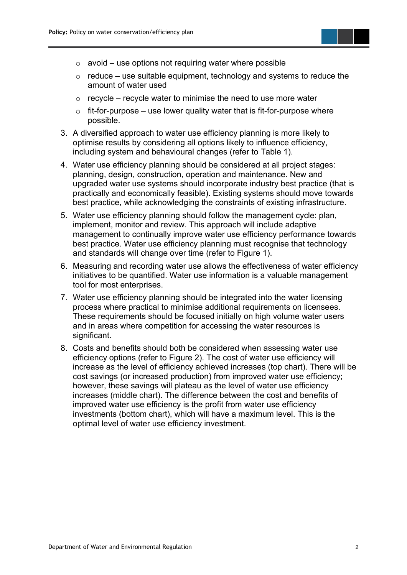

- $\circ$  avoid use options not requiring water where possible
- $\circ$  reduce use suitable equipment, technology and systems to reduce the amount of water used
- $\circ$  recycle recycle water to minimise the need to use more water
- $\circ$  fit-for-purpose use lower quality water that is fit-for-purpose where possible.
- 3. A diversified approach to water use efficiency planning is more likely to optimise results by considering all options likely to influence efficiency, including system and behavioural changes (refer to Table 1).
- 4. Water use efficiency planning should be considered at all project stages: planning, design, construction, operation and maintenance. New and upgraded water use systems should incorporate industry best practice (that is practically and economically feasible). Existing systems should move towards best practice, while acknowledging the constraints of existing infrastructure.
- 5. Water use efficiency planning should follow the management cycle: plan, implement, monitor and review. This approach will include adaptive management to continually improve water use efficiency performance towards best practice. Water use efficiency planning must recognise that technology and standards will change over time (refer to Figure 1).
- 6. Measuring and recording water use allows the effectiveness of water efficiency initiatives to be quantified. Water use information is a valuable management tool for most enterprises.
- 7. Water use efficiency planning should be integrated into the water licensing process where practical to minimise additional requirements on licensees. These requirements should be focused initially on high volume water users and in areas where competition for accessing the water resources is significant.
- 8. Costs and benefits should both be considered when assessing water use efficiency options (refer to Figure 2). The cost of water use efficiency will increase as the level of efficiency achieved increases (top chart). There will be cost savings (or increased production) from improved water use efficiency; however, these savings will plateau as the level of water use efficiency increases (middle chart). The difference between the cost and benefits of improved water use efficiency is the profit from water use efficiency investments (bottom chart), which will have a maximum level. This is the optimal level of water use efficiency investment.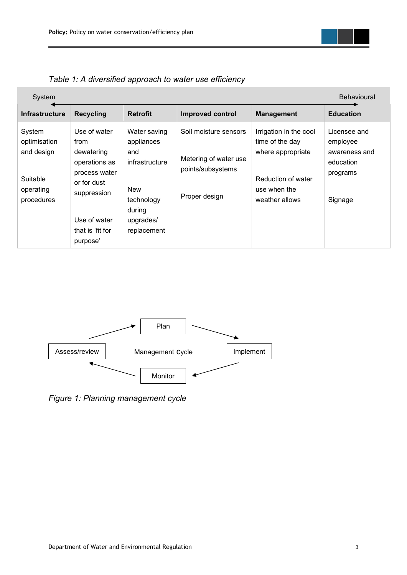

<span id="page-8-0"></span>

| Table 1: A diversified approach to water use efficiency |  |  |
|---------------------------------------------------------|--|--|
|---------------------------------------------------------|--|--|

| System                                                                      |                                                                                                                                                    |                                                                                                                       |                                                                                      |                                                                                                                        | Behavioural                                                                   |
|-----------------------------------------------------------------------------|----------------------------------------------------------------------------------------------------------------------------------------------------|-----------------------------------------------------------------------------------------------------------------------|--------------------------------------------------------------------------------------|------------------------------------------------------------------------------------------------------------------------|-------------------------------------------------------------------------------|
| <b>Infrastructure</b>                                                       | <b>Recycling</b>                                                                                                                                   | <b>Retrofit</b>                                                                                                       | <b>Improved control</b>                                                              | <b>Management</b>                                                                                                      | <b>Education</b>                                                              |
| System<br>optimisation<br>and design<br>Suitable<br>operating<br>procedures | Use of water<br>from<br>dewatering<br>operations as<br>process water<br>or for dust<br>suppression<br>Use of water<br>that is 'fit for<br>purpose' | Water saving<br>appliances<br>and<br>infrastructure<br><b>New</b><br>technology<br>during<br>upgrades/<br>replacement | Soil moisture sensors<br>Metering of water use<br>points/subsystems<br>Proper design | Irrigation in the cool<br>time of the day<br>where appropriate<br>Reduction of water<br>use when the<br>weather allows | Licensee and<br>employee<br>awareness and<br>education<br>programs<br>Signage |



*Figure 1: Planning management cycle*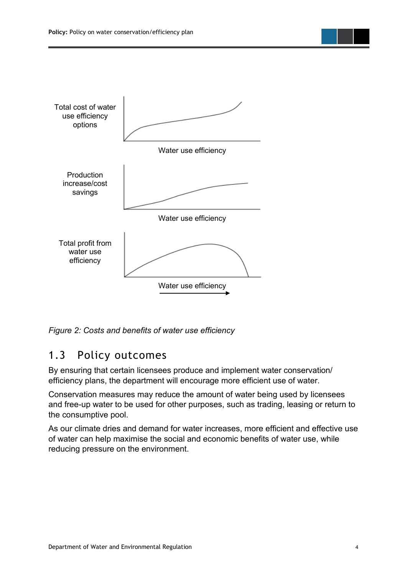

*Figure 2: Costs and benefits of water use efficiency*

### <span id="page-9-0"></span>1.3 Policy outcomes

By ensuring that certain licensees produce and implement water conservation/ efficiency plans, the department will encourage more efficient use of water.

Conservation measures may reduce the amount of water being used by licensees and free-up water to be used for other purposes, such as trading, leasing or return to the consumptive pool.

As our climate dries and demand for water increases, more efficient and effective use of water can help maximise the social and economic benefits of water use, while reducing pressure on the environment.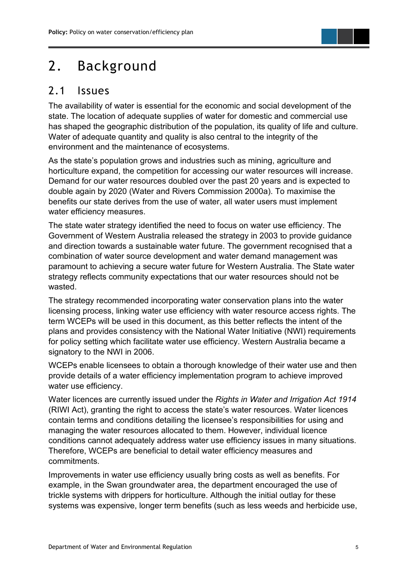

### <span id="page-10-0"></span>2. Background

### <span id="page-10-1"></span>2.1 Issues

The availability of water is essential for the economic and social development of the state. The location of adequate supplies of water for domestic and commercial use has shaped the geographic distribution of the population, its quality of life and culture. Water of adequate quantity and quality is also central to the integrity of the environment and the maintenance of ecosystems.

As the state's population grows and industries such as mining, agriculture and horticulture expand, the competition for accessing our water resources will increase. Demand for our water resources doubled over the past 20 years and is expected to double again by 2020 (Water and Rivers Commission 2000a). To maximise the benefits our state derives from the use of water, all water users must implement water efficiency measures.

The state water strategy identified the need to focus on water use efficiency. The Government of Western Australia released the strategy in 2003 to provide guidance and direction towards a sustainable water future. The government recognised that a combination of water source development and water demand management was paramount to achieving a secure water future for Western Australia. The State water strategy reflects community expectations that our water resources should not be wasted.

The strategy recommended incorporating water conservation plans into the water licensing process, linking water use efficiency with water resource access rights. The term WCEPs will be used in this document, as this better reflects the intent of the plans and provides consistency with the National Water Initiative (NWI) requirements for policy setting which facilitate water use efficiency. Western Australia became a signatory to the NWI in 2006.

WCEPs enable licensees to obtain a thorough knowledge of their water use and then provide details of a water efficiency implementation program to achieve improved water use efficiency.

Water licences are currently issued under the *Rights in Water and Irrigation Act 1914* (RIWI Act), granting the right to access the state's water resources. Water licences contain terms and conditions detailing the licensee's responsibilities for using and managing the water resources allocated to them. However, individual licence conditions cannot adequately address water use efficiency issues in many situations. Therefore, WCEPs are beneficial to detail water efficiency measures and commitments.

Improvements in water use efficiency usually bring costs as well as benefits. For example, in the Swan groundwater area, the department encouraged the use of trickle systems with drippers for horticulture. Although the initial outlay for these systems was expensive, longer term benefits (such as less weeds and herbicide use,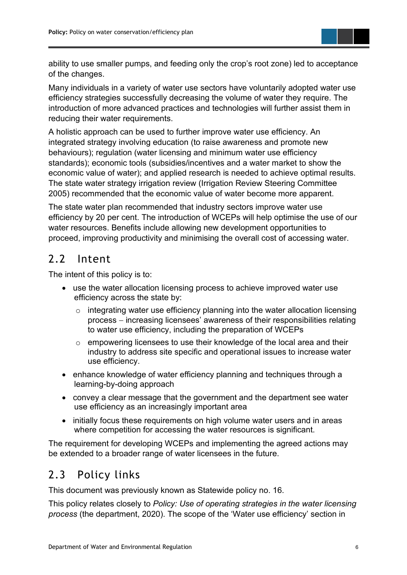

ability to use smaller pumps, and feeding only the crop's root zone) led to acceptance of the changes.

Many individuals in a variety of water use sectors have voluntarily adopted water use efficiency strategies successfully decreasing the volume of water they require. The introduction of more advanced practices and technologies will further assist them in reducing their water requirements.

A holistic approach can be used to further improve water use efficiency. An integrated strategy involving education (to raise awareness and promote new behaviours); regulation (water licensing and minimum water use efficiency standards); economic tools (subsidies/incentives and a water market to show the economic value of water); and applied research is needed to achieve optimal results. The state water strategy irrigation review (Irrigation Review Steering Committee 2005) recommended that the economic value of water become more apparent.

The state water plan recommended that industry sectors improve water use efficiency by 20 per cent. The introduction of WCEPs will help optimise the use of our water resources. Benefits include allowing new development opportunities to proceed, improving productivity and minimising the overall cost of accessing water.

### <span id="page-11-0"></span>2.2 Intent

The intent of this policy is to:

- use the water allocation licensing process to achieve improved water use efficiency across the state by:
	- $\circ$  integrating water use efficiency planning into the water allocation licensing process − increasing licensees' awareness of their responsibilities relating to water use efficiency, including the preparation of WCEPs
	- o empowering licensees to use their knowledge of the local area and their industry to address site specific and operational issues to increase water use efficiency.
- enhance knowledge of water efficiency planning and techniques through a learning-by-doing approach
- convey a clear message that the government and the department see water use efficiency as an increasingly important area
- initially focus these requirements on high volume water users and in areas where competition for accessing the water resources is significant.

The requirement for developing WCEPs and implementing the agreed actions may be extended to a broader range of water licensees in the future.

### <span id="page-11-1"></span>2.3 Policy links

This document was previously known as Statewide policy no. 16.

This policy relates closely to *Policy: Use of operating strategies in the water licensing process* (the department, 2020). The scope of the 'Water use efficiency' section in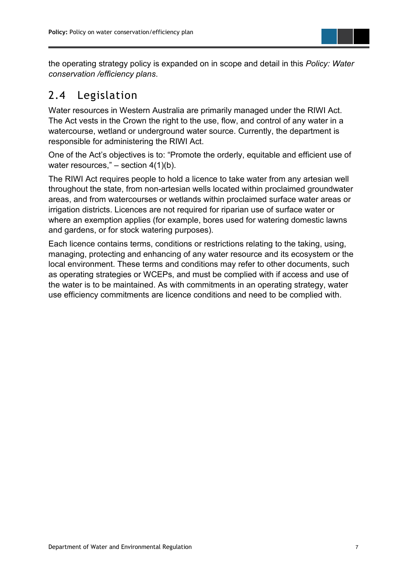

the operating strategy policy is expanded on in scope and detail in this *Policy: Water conservation /efficiency plans*.

### <span id="page-12-0"></span>2.4 Legislation

Water resources in Western Australia are primarily managed under the RIWI Act. The Act vests in the Crown the right to the use, flow, and control of any water in a watercourse, wetland or underground water source. Currently, the department is responsible for administering the RIWI Act.

One of the Act's objectives is to: "Promote the orderly, equitable and efficient use of water resources,"  $-$  section 4(1)(b).

The RIWI Act requires people to hold a licence to take water from any artesian well throughout the state, from non-artesian wells located within proclaimed groundwater areas, and from watercourses or wetlands within proclaimed surface water areas or irrigation districts. Licences are not required for riparian use of surface water or where an exemption applies (for example, bores used for watering domestic lawns and gardens, or for stock watering purposes).

Each licence contains terms, conditions or restrictions relating to the taking, using, managing, protecting and enhancing of any water resource and its ecosystem or the local environment. These terms and conditions may refer to other documents, such as operating strategies or WCEPs, and must be complied with if access and use of the water is to be maintained. As with commitments in an operating strategy, water use efficiency commitments are licence conditions and need to be complied with.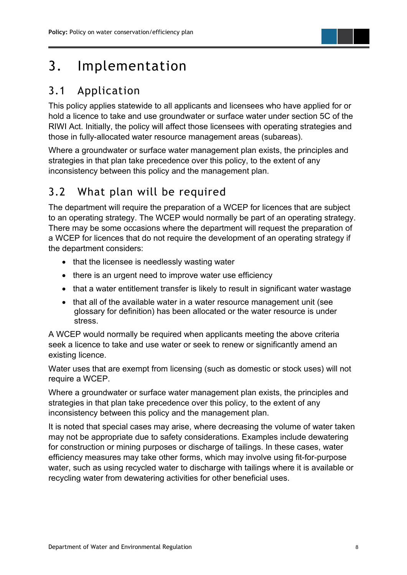

### <span id="page-13-0"></span>3. Implementation

### <span id="page-13-1"></span>3.1 Application

This policy applies statewide to all applicants and licensees who have applied for or hold a licence to take and use groundwater or surface water under section 5C of the RIWI Act. Initially, the policy will affect those licensees with operating strategies and those in fully-allocated water resource management areas (subareas).

Where a groundwater or surface water management plan exists, the principles and strategies in that plan take precedence over this policy, to the extent of any inconsistency between this policy and the management plan.

### <span id="page-13-2"></span>3.2 What plan will be required

The department will require the preparation of a WCEP for licences that are subject to an operating strategy. The WCEP would normally be part of an operating strategy. There may be some occasions where the department will request the preparation of a WCEP for licences that do not require the development of an operating strategy if the department considers:

- that the licensee is needlessly wasting water
- there is an urgent need to improve water use efficiency
- that a water entitlement transfer is likely to result in significant water wastage
- that all of the available water in a water resource management unit (see glossary for definition) has been allocated or the water resource is under stress.

A WCEP would normally be required when applicants meeting the above criteria seek a licence to take and use water or seek to renew or significantly amend an existing licence.

Water uses that are exempt from licensing (such as domestic or stock uses) will not require a WCEP.

Where a groundwater or surface water management plan exists, the principles and strategies in that plan take precedence over this policy, to the extent of any inconsistency between this policy and the management plan.

It is noted that special cases may arise, where decreasing the volume of water taken may not be appropriate due to safety considerations. Examples include dewatering for construction or mining purposes or discharge of tailings. In these cases, water efficiency measures may take other forms, which may involve using fit-for-purpose water, such as using recycled water to discharge with tailings where it is available or recycling water from dewatering activities for other beneficial uses.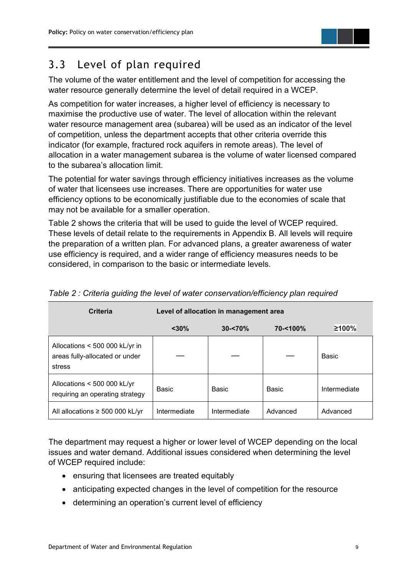

### <span id="page-14-0"></span>3.3 Level of plan required

The volume of the water entitlement and the level of competition for accessing the water resource generally determine the level of detail required in a WCEP.

As competition for water increases, a higher level of efficiency is necessary to maximise the productive use of water. The level of allocation within the relevant water resource management area (subarea) will be used as an indicator of the level of competition, unless the department accepts that other criteria override this indicator (for example, fractured rock aquifers in remote areas). The level of allocation in a water management subarea is the volume of water licensed compared to the subarea's allocation limit.

The potential for water savings through efficiency initiatives increases as the volume of water that licensees use increases. There are opportunities for water use efficiency options to be economically justifiable due to the economies of scale that may not be available for a smaller operation.

Table 2 shows the criteria that will be used to guide the level of WCEP required. These levels of detail relate to the requirements in Appendix B. All levels will require the preparation of a written plan. For advanced plans, a greater awareness of water use efficiency is required, and a wider range of efficiency measures needs to be considered, in comparison to the basic or intermediate levels.

| Criteria                                                                   | Level of allocation in management area |              |          |              |  |
|----------------------------------------------------------------------------|----------------------------------------|--------------|----------|--------------|--|
|                                                                            | $<$ 30%                                | $30 - 70%$   | 70-<100% | ≥100%        |  |
| Allocations < 500 000 kL/yr in<br>areas fully-allocated or under<br>stress |                                        |              |          | Basic        |  |
| Allocations < 500 000 kL/yr<br>requiring an operating strategy             | Basic                                  | Basic        | Basic    | Intermediate |  |
| All allocations $\geq 500000$ kL/yr                                        | Intermediate                           | Intermediate | Advanced | Advanced     |  |

<span id="page-14-1"></span>*Table 2 : Criteria guiding the level of water conservation/efficiency plan required*

The department may request a higher or lower level of WCEP depending on the local issues and water demand. Additional issues considered when determining the level of WCEP required include:

- ensuring that licensees are treated equitably
- anticipating expected changes in the level of competition for the resource
- determining an operation's current level of efficiency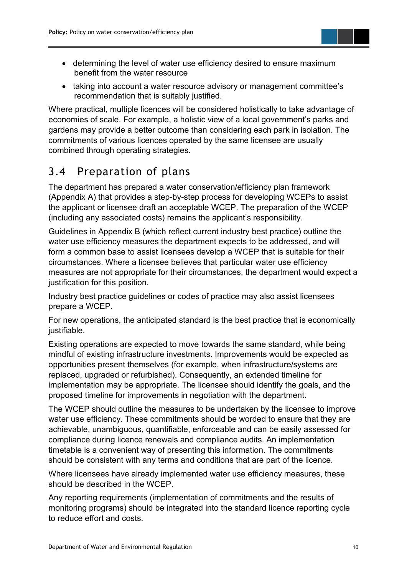

- determining the level of water use efficiency desired to ensure maximum benefit from the water resource
- taking into account a water resource advisory or management committee's recommendation that is suitably justified.

Where practical, multiple licences will be considered holistically to take advantage of economies of scale. For example, a holistic view of a local government's parks and gardens may provide a better outcome than considering each park in isolation. The commitments of various licences operated by the same licensee are usually combined through operating strategies.

### <span id="page-15-0"></span>3.4 Preparation of plans

The department has prepared a water conservation/efficiency plan framework (Appendix A) that provides a step-by-step process for developing WCEPs to assist the applicant or licensee draft an acceptable WCEP. The preparation of the WCEP (including any associated costs) remains the applicant's responsibility.

Guidelines in Appendix B (which reflect current industry best practice) outline the water use efficiency measures the department expects to be addressed, and will form a common base to assist licensees develop a WCEP that is suitable for their circumstances. Where a licensee believes that particular water use efficiency measures are not appropriate for their circumstances, the department would expect a justification for this position.

Industry best practice guidelines or codes of practice may also assist licensees prepare a WCEP.

For new operations, the anticipated standard is the best practice that is economically justifiable.

Existing operations are expected to move towards the same standard, while being mindful of existing infrastructure investments. Improvements would be expected as opportunities present themselves (for example, when infrastructure/systems are replaced, upgraded or refurbished). Consequently, an extended timeline for implementation may be appropriate. The licensee should identify the goals, and the proposed timeline for improvements in negotiation with the department.

The WCEP should outline the measures to be undertaken by the licensee to improve water use efficiency. These commitments should be worded to ensure that they are achievable, unambiguous, quantifiable, enforceable and can be easily assessed for compliance during licence renewals and compliance audits. An implementation timetable is a convenient way of presenting this information. The commitments should be consistent with any terms and conditions that are part of the licence.

Where licensees have already implemented water use efficiency measures, these should be described in the WCEP.

Any reporting requirements (implementation of commitments and the results of monitoring programs) should be integrated into the standard licence reporting cycle to reduce effort and costs.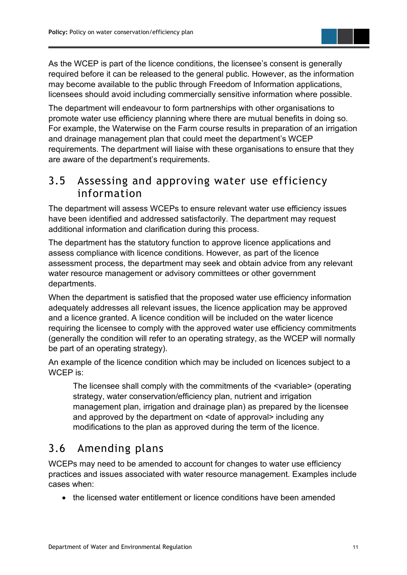

The department will endeavour to form partnerships with other organisations to promote water use efficiency planning where there are mutual benefits in doing so. For example, the Waterwise on the Farm course results in preparation of an irrigation and drainage management plan that could meet the department's WCEP requirements. The department will liaise with these organisations to ensure that they are aware of the department's requirements.

### <span id="page-16-0"></span>3.5 Assessing and approving water use efficiency information

The department will assess WCEPs to ensure relevant water use efficiency issues have been identified and addressed satisfactorily. The department may request additional information and clarification during this process.

The department has the statutory function to approve licence applications and assess compliance with licence conditions. However, as part of the licence assessment process, the department may seek and obtain advice from any relevant water resource management or advisory committees or other government departments.

When the department is satisfied that the proposed water use efficiency information adequately addresses all relevant issues, the licence application may be approved and a licence granted. A licence condition will be included on the water licence requiring the licensee to comply with the approved water use efficiency commitments (generally the condition will refer to an operating strategy, as the WCEP will normally be part of an operating strategy).

An example of the licence condition which may be included on licences subject to a WCEP is:

The licensee shall comply with the commitments of the <variable> (operating strategy, water conservation/efficiency plan, nutrient and irrigation management plan, irrigation and drainage plan) as prepared by the licensee and approved by the department on <date of approval> including any modifications to the plan as approved during the term of the licence.

### <span id="page-16-1"></span>3.6 Amending plans

WCEPs may need to be amended to account for changes to water use efficiency practices and issues associated with water resource management. Examples include cases when:

• the licensed water entitlement or licence conditions have been amended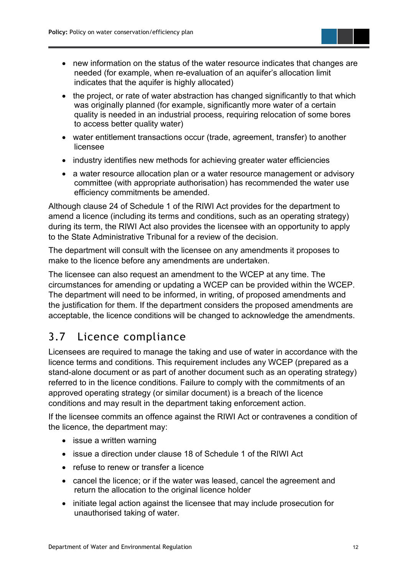- new information on the status of the water resource indicates that changes are needed (for example, when re-evaluation of an aquifer's allocation limit indicates that the aquifer is highly allocated)
- the project, or rate of water abstraction has changed significantly to that which was originally planned (for example, significantly more water of a certain quality is needed in an industrial process, requiring relocation of some bores to access better quality water)
- water entitlement transactions occur (trade, agreement, transfer) to another licensee
- industry identifies new methods for achieving greater water efficiencies
- a water resource allocation plan or a water resource management or advisory committee (with appropriate authorisation) has recommended the water use efficiency commitments be amended.

Although clause 24 of Schedule 1 of the RIWI Act provides for the department to amend a licence (including its terms and conditions, such as an operating strategy) during its term, the RIWI Act also provides the licensee with an opportunity to apply to the State Administrative Tribunal for a review of the decision.

The department will consult with the licensee on any amendments it proposes to make to the licence before any amendments are undertaken.

The licensee can also request an amendment to the WCEP at any time. The circumstances for amending or updating a WCEP can be provided within the WCEP. The department will need to be informed, in writing, of proposed amendments and the justification for them. If the department considers the proposed amendments are acceptable, the licence conditions will be changed to acknowledge the amendments.

### <span id="page-17-0"></span>3.7 Licence compliance

Licensees are required to manage the taking and use of water in accordance with the licence terms and conditions. This requirement includes any WCEP (prepared as a stand-alone document or as part of another document such as an operating strategy) referred to in the licence conditions. Failure to comply with the commitments of an approved operating strategy (or similar document) is a breach of the licence conditions and may result in the department taking enforcement action.

If the licensee commits an offence against the RIWI Act or contravenes a condition of the licence, the department may:

- issue a written warning
- issue a direction under clause 18 of Schedule 1 of the RIWI Act
- refuse to renew or transfer a licence
- cancel the licence; or if the water was leased, cancel the agreement and return the allocation to the original licence holder
- initiate legal action against the licensee that may include prosecution for unauthorised taking of water.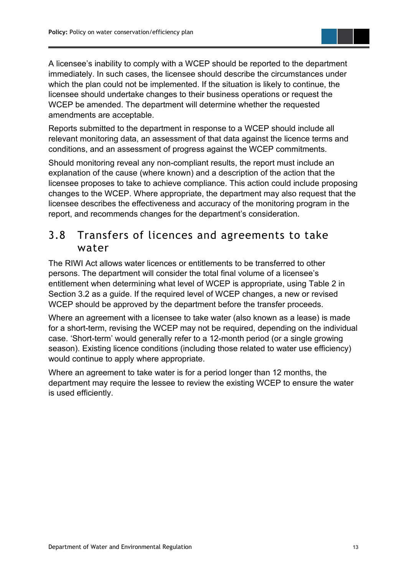

Reports submitted to the department in response to a WCEP should include all relevant monitoring data, an assessment of that data against the licence terms and conditions, and an assessment of progress against the WCEP commitments.

Should monitoring reveal any non-compliant results, the report must include an explanation of the cause (where known) and a description of the action that the licensee proposes to take to achieve compliance. This action could include proposing changes to the WCEP. Where appropriate, the department may also request that the licensee describes the effectiveness and accuracy of the monitoring program in the report, and recommends changes for the department's consideration.

#### <span id="page-18-0"></span>3.8 Transfers of licences and agreements to take water

The RIWI Act allows water licences or entitlements to be transferred to other persons. The department will consider the total final volume of a licensee's entitlement when determining what level of WCEP is appropriate, using Table 2 in Section 3.2 as a guide. If the required level of WCEP changes, a new or revised WCEP should be approved by the department before the transfer proceeds.

Where an agreement with a licensee to take water (also known as a lease) is made for a short-term, revising the WCEP may not be required, depending on the individual case. 'Short-term' would generally refer to a 12-month period (or a single growing season). Existing licence conditions (including those related to water use efficiency) would continue to apply where appropriate.

Where an agreement to take water is for a period longer than 12 months, the department may require the lessee to review the existing WCEP to ensure the water is used efficiently.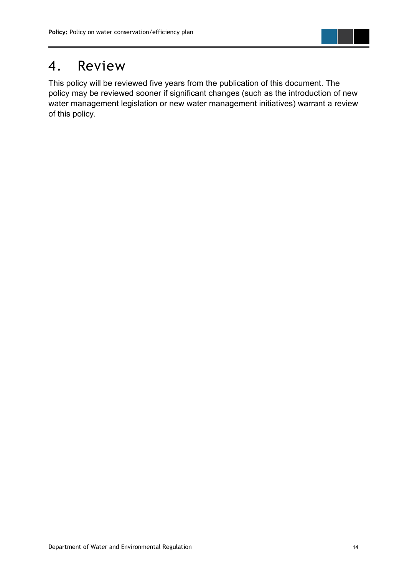

### <span id="page-19-0"></span>4. Review

This policy will be reviewed five years from the publication of this document. The policy may be reviewed sooner if significant changes (such as the introduction of new water management legislation or new water management initiatives) warrant a review of this policy.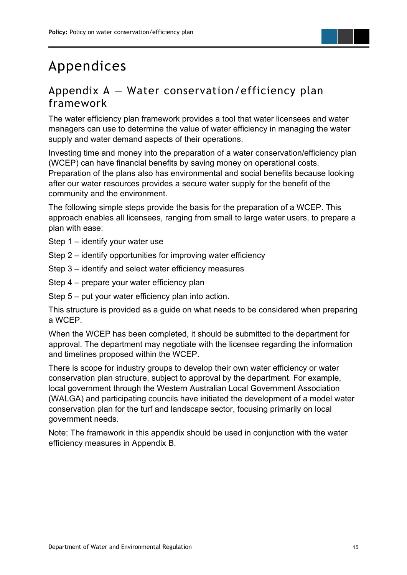## <span id="page-20-0"></span>Appendices

### <span id="page-20-1"></span>Appendix  $A - W$ ater conservation/efficiency plan framework

The water efficiency plan framework provides a tool that water licensees and water managers can use to determine the value of water efficiency in managing the water supply and water demand aspects of their operations.

Investing time and money into the preparation of a water conservation/efficiency plan (WCEP) can have financial benefits by saving money on operational costs. Preparation of the plans also has environmental and social benefits because looking after our water resources provides a secure water supply for the benefit of the community and the environment.

The following simple steps provide the basis for the preparation of a WCEP. This approach enables all licensees, ranging from small to large water users, to prepare a plan with ease:

Step 1 – identify your water use

- Step 2 identify opportunities for improving water efficiency
- Step 3 identify and select water efficiency measures
- Step 4 prepare your water efficiency plan

Step 5 – put your water efficiency plan into action.

This structure is provided as a guide on what needs to be considered when preparing a WCEP.

When the WCEP has been completed, it should be submitted to the department for approval. The department may negotiate with the licensee regarding the information and timelines proposed within the WCEP.

There is scope for industry groups to develop their own water efficiency or water conservation plan structure, subject to approval by the department. For example, local government through the Western Australian Local Government Association (WALGA) and participating councils have initiated the development of a model water conservation plan for the turf and landscape sector, focusing primarily on local government needs.

Note: The framework in this appendix should be used in conjunction with the water efficiency measures in Appendix B.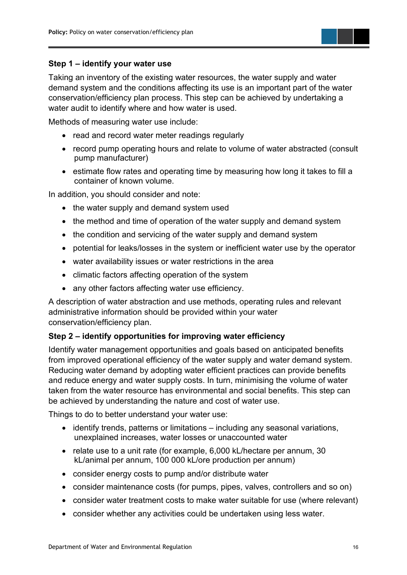

#### **Step 1 – identify your water use**

Taking an inventory of the existing water resources, the water supply and water demand system and the conditions affecting its use is an important part of the water conservation/efficiency plan process. This step can be achieved by undertaking a water audit to identify where and how water is used.

Methods of measuring water use include:

- read and record water meter readings regularly
- record pump operating hours and relate to volume of water abstracted (consult pump manufacturer)
- estimate flow rates and operating time by measuring how long it takes to fill a container of known volume.

In addition, you should consider and note:

- the water supply and demand system used
- the method and time of operation of the water supply and demand system
- the condition and servicing of the water supply and demand system
- potential for leaks/losses in the system or inefficient water use by the operator
- water availability issues or water restrictions in the area
- climatic factors affecting operation of the system
- any other factors affecting water use efficiency.

A description of water abstraction and use methods, operating rules and relevant administrative information should be provided within your water conservation/efficiency plan.

#### **Step 2 – identify opportunities for improving water efficiency**

Identify water management opportunities and goals based on anticipated benefits from improved operational efficiency of the water supply and water demand system. Reducing water demand by adopting water efficient practices can provide benefits and reduce energy and water supply costs. In turn, minimising the volume of water taken from the water resource has environmental and social benefits. This step can be achieved by understanding the nature and cost of water use.

Things to do to better understand your water use:

- identify trends, patterns or limitations including any seasonal variations, unexplained increases, water losses or unaccounted water
- relate use to a unit rate (for example, 6,000 kL/hectare per annum, 30 kL/animal per annum, 100 000 kL/ore production per annum)
- consider energy costs to pump and/or distribute water
- consider maintenance costs (for pumps, pipes, valves, controllers and so on)
- consider water treatment costs to make water suitable for use (where relevant)
- consider whether any activities could be undertaken using less water.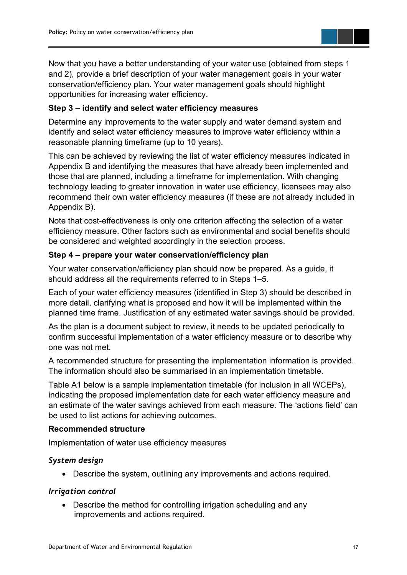Now that you have a better understanding of your water use (obtained from steps 1 and 2), provide a brief description of your water management goals in your water conservation/efficiency plan. Your water management goals should highlight opportunities for increasing water efficiency.

#### **Step 3 – identify and select water efficiency measures**

Determine any improvements to the water supply and water demand system and identify and select water efficiency measures to improve water efficiency within a reasonable planning timeframe (up to 10 years).

This can be achieved by reviewing the list of water efficiency measures indicated in Appendix B and identifying the measures that have already been implemented and those that are planned, including a timeframe for implementation. With changing technology leading to greater innovation in water use efficiency, licensees may also recommend their own water efficiency measures (if these are not already included in Appendix B).

Note that cost-effectiveness is only one criterion affecting the selection of a water efficiency measure. Other factors such as environmental and social benefits should be considered and weighted accordingly in the selection process.

#### **Step 4 – prepare your water conservation/efficiency plan**

Your water conservation/efficiency plan should now be prepared. As a guide, it should address all the requirements referred to in Steps 1–5.

Each of your water efficiency measures (identified in Step 3) should be described in more detail, clarifying what is proposed and how it will be implemented within the planned time frame. Justification of any estimated water savings should be provided.

As the plan is a document subject to review, it needs to be updated periodically to confirm successful implementation of a water efficiency measure or to describe why one was not met.

A recommended structure for presenting the implementation information is provided. The information should also be summarised in an implementation timetable.

Table A1 below is a sample implementation timetable (for inclusion in all WCEPs), indicating the proposed implementation date for each water efficiency measure and an estimate of the water savings achieved from each measure. The 'actions field' can be used to list actions for achieving outcomes.

#### **Recommended structure**

Implementation of water use efficiency measures

#### *System design*

• Describe the system, outlining any improvements and actions required.

#### *Irrigation control*

• Describe the method for controlling irrigation scheduling and any improvements and actions required.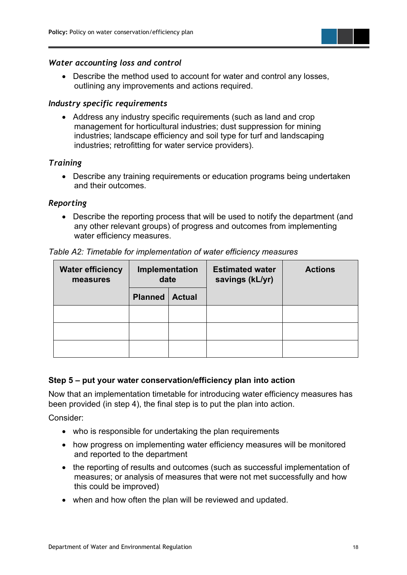

#### *Water accounting loss and control*

• Describe the method used to account for water and control any losses, outlining any improvements and actions required.

#### *Industry specific requirements*

• Address any industry specific requirements (such as land and crop management for horticultural industries; dust suppression for mining industries; landscape efficiency and soil type for turf and landscaping industries; retrofitting for water service providers).

#### *Training*

• Describe any training requirements or education programs being undertaken and their outcomes.

#### *Reporting*

• Describe the reporting process that will be used to notify the department (and any other relevant groups) of progress and outcomes from implementing water efficiency measures.

| <b>Water efficiency</b><br>measures | Implementation<br>date  |  | <b>Estimated water</b><br>savings (kL/yr) | <b>Actions</b> |  |
|-------------------------------------|-------------------------|--|-------------------------------------------|----------------|--|
|                                     | <b>Planned   Actual</b> |  |                                           |                |  |
|                                     |                         |  |                                           |                |  |
|                                     |                         |  |                                           |                |  |
|                                     |                         |  |                                           |                |  |

*Table A2: Timetable for implementation of water efficiency measures*

#### **Step 5 – put your water conservation/efficiency plan into action**

Now that an implementation timetable for introducing water efficiency measures has been provided (in step 4), the final step is to put the plan into action.

Consider:

- who is responsible for undertaking the plan requirements
- how progress on implementing water efficiency measures will be monitored and reported to the department
- the reporting of results and outcomes (such as successful implementation of measures; or analysis of measures that were not met successfully and how this could be improved)
- when and how often the plan will be reviewed and updated.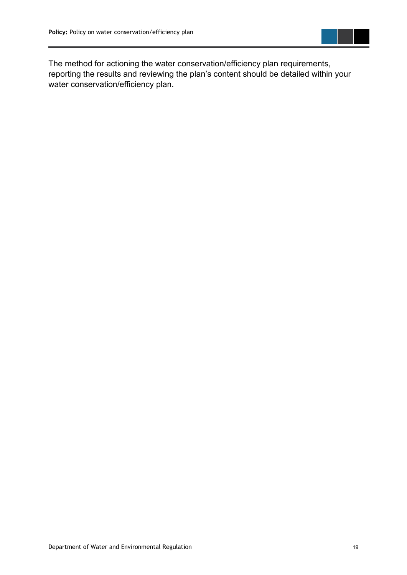

The method for actioning the water conservation/efficiency plan requirements, reporting the results and reviewing the plan's content should be detailed within your water conservation/efficiency plan.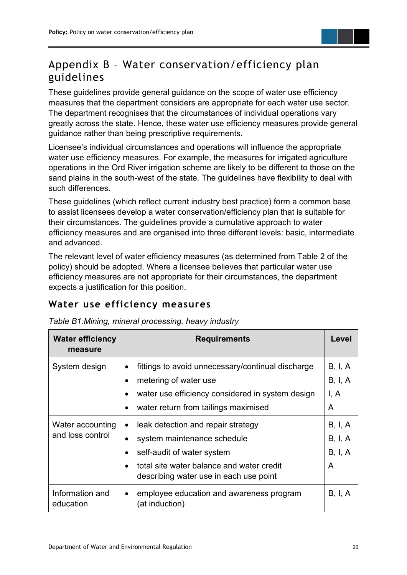### <span id="page-25-0"></span>Appendix B – Water conservation/efficiency plan guidelines

These guidelines provide general guidance on the scope of water use efficiency measures that the department considers are appropriate for each water use sector. The department recognises that the circumstances of individual operations vary greatly across the state. Hence, these water use efficiency measures provide general guidance rather than being prescriptive requirements.

Licensee's individual circumstances and operations will influence the appropriate water use efficiency measures. For example, the measures for irrigated agriculture operations in the Ord River irrigation scheme are likely to be different to those on the sand plains in the south-west of the state. The guidelines have flexibility to deal with such differences.

These guidelines (which reflect current industry best practice) form a common base to assist licensees develop a water conservation/efficiency plan that is suitable for their circumstances. The guidelines provide a cumulative approach to water efficiency measures and are organised into three different levels: basic, intermediate and advanced.

The relevant level of water efficiency measures (as determined from Table 2 of the policy) should be adopted. Where a licensee believes that particular water use efficiency measures are not appropriate for their circumstances, the department expects a justification for this position.

#### <span id="page-25-1"></span>**Water use efficiency measures**

| <b>Water efficiency</b><br>measure   | <b>Requirements</b>                                                                                                                                                                                 | Level                                      |
|--------------------------------------|-----------------------------------------------------------------------------------------------------------------------------------------------------------------------------------------------------|--------------------------------------------|
| System design                        | fittings to avoid unnecessary/continual discharge<br>metering of water use<br>water use efficiency considered in system design<br>water return from tailings maximised                              | B, I, A<br>B, I, A<br>l, A<br>A            |
| Water accounting<br>and loss control | leak detection and repair strategy<br>$\bullet$<br>system maintenance schedule<br>self-audit of water system<br>total site water balance and water credit<br>describing water use in each use point | B, I, A<br><b>B</b> , I, A<br>B, I, A<br>A |
| Information and<br>education         | employee education and awareness program<br>$\bullet$<br>(at induction)                                                                                                                             | B, I, A                                    |

*Table B1:Mining, mineral processing, heavy industry*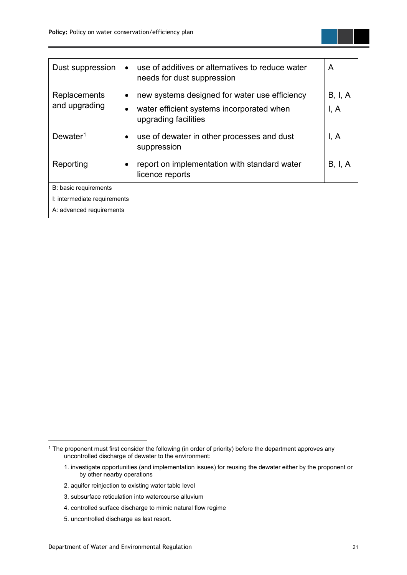| Dust suppression              | use of additives or alternatives to reduce water<br>needs for dust suppression                                     | A               |  |  |
|-------------------------------|--------------------------------------------------------------------------------------------------------------------|-----------------|--|--|
| Replacements<br>and upgrading | new systems designed for water use efficiency<br>water efficient systems incorporated when<br>upgrading facilities | B, I, A<br>I, A |  |  |
| $D$ ewater <sup>1</sup>       | use of dewater in other processes and dust<br>suppression                                                          | I, A            |  |  |
| Reporting                     | report on implementation with standard water<br>licence reports                                                    | B, I, A         |  |  |
| B: basic requirements         |                                                                                                                    |                 |  |  |
| I: intermediate requirements  |                                                                                                                    |                 |  |  |
| A: advanced requirements      |                                                                                                                    |                 |  |  |

- 2. aquifer reinjection to existing water table level
- 3. subsurface reticulation into watercourse alluvium
- 4. controlled surface discharge to mimic natural flow regime
- 5. uncontrolled discharge as last resort.

<span id="page-26-0"></span><sup>1</sup> The proponent must first consider the following (in order of priority) before the department approves any uncontrolled discharge of dewater to the environment:

<sup>1.</sup> investigate opportunities (and implementation issues) for reusing the dewater either by the proponent or by other nearby operations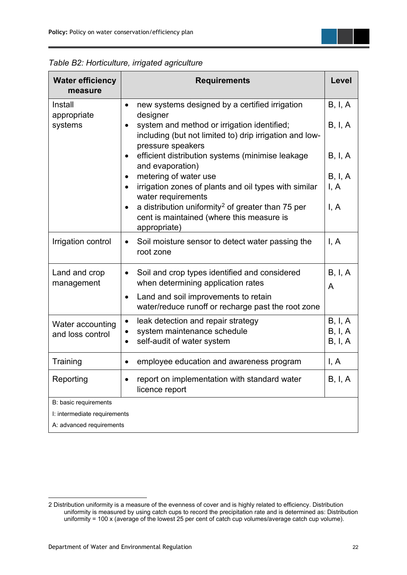| <b>Water efficiency</b><br>measure                       | <b>Requirements</b>                                                                                                         |                               |  |  |
|----------------------------------------------------------|-----------------------------------------------------------------------------------------------------------------------------|-------------------------------|--|--|
| Install<br>appropriate                                   | new systems designed by a certified irrigation<br>designer                                                                  | B, I, A                       |  |  |
| systems                                                  | system and method or irrigation identified;<br>including (but not limited to) drip irrigation and low-<br>pressure speakers | B, I, A                       |  |  |
|                                                          | efficient distribution systems (minimise leakage<br>and evaporation)                                                        | B, I, A                       |  |  |
|                                                          | metering of water use<br>irrigation zones of plants and oil types with similar<br>water requirements                        | B, I, A<br>I, A               |  |  |
|                                                          | a distribution uniformity <sup>2</sup> of greater than 75 per<br>cent is maintained (where this measure is<br>appropriate)  | I, A                          |  |  |
| Irrigation control                                       | Soil moisture sensor to detect water passing the<br>$\bullet$<br>root zone                                                  | I, A                          |  |  |
| Land and crop<br>management                              | Soil and crop types identified and considered<br>when determining application rates                                         | B, I, A<br>A                  |  |  |
|                                                          | Land and soil improvements to retain<br>$\bullet$<br>water/reduce runoff or recharge past the root zone                     |                               |  |  |
| Water accounting<br>and loss control                     | leak detection and repair strategy<br>$\bullet$<br>system maintenance schedule<br>self-audit of water system                | B, I, A<br>B, I, A<br>B, I, A |  |  |
| Training                                                 | employee education and awareness program                                                                                    | I, A                          |  |  |
| Reporting                                                | report on implementation with standard water<br>licence report                                                              | B, I, A                       |  |  |
| B: basic requirements                                    |                                                                                                                             |                               |  |  |
| I: intermediate requirements<br>A: advanced requirements |                                                                                                                             |                               |  |  |
|                                                          |                                                                                                                             |                               |  |  |

*Table B2: Horticulture, irrigated agriculture*

<span id="page-27-0"></span><sup>2</sup> Distribution uniformity is a measure of the evenness of cover and is highly related to efficiency. Distribution uniformity is measured by using catch cups to record the precipitation rate and is determined as: Distribution uniformity = 100 x (average of the lowest 25 per cent of catch cup volumes/average catch cup volume).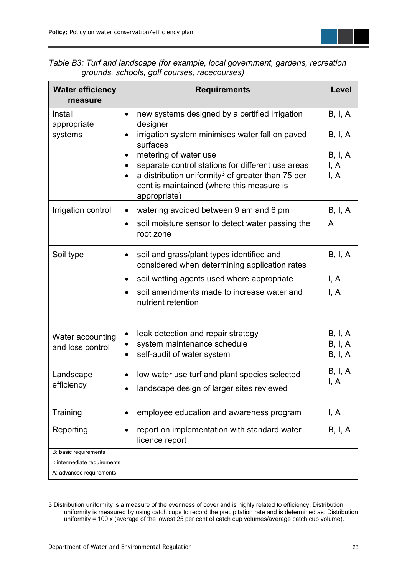

| <b>Water efficiency</b><br>measure                    | <b>Requirements</b>                                                                                                                                                                                      | Level                   |  |  |
|-------------------------------------------------------|----------------------------------------------------------------------------------------------------------------------------------------------------------------------------------------------------------|-------------------------|--|--|
| Install<br>appropriate                                | new systems designed by a certified irrigation<br>$\bullet$<br>designer                                                                                                                                  | B, I, A                 |  |  |
| systems                                               | irrigation system minimises water fall on paved<br>surfaces                                                                                                                                              | B, I, A                 |  |  |
|                                                       | metering of water use<br>separate control stations for different use areas<br>a distribution uniformity <sup>3</sup> of greater than 75 per<br>cent is maintained (where this measure is<br>appropriate) | B, I, A<br>I, A<br>I, A |  |  |
| Irrigation control                                    | watering avoided between 9 am and 6 pm<br>$\bullet$                                                                                                                                                      | B, I, A                 |  |  |
|                                                       | soil moisture sensor to detect water passing the<br>$\bullet$<br>root zone                                                                                                                               | A                       |  |  |
| Soil type                                             | soil and grass/plant types identified and<br>$\bullet$<br>considered when determining application rates                                                                                                  | B, I, A                 |  |  |
|                                                       | soil wetting agents used where appropriate                                                                                                                                                               | I, A                    |  |  |
|                                                       | soil amendments made to increase water and<br>nutrient retention                                                                                                                                         | I, A                    |  |  |
| Water accounting                                      | leak detection and repair strategy<br>$\bullet$                                                                                                                                                          | B, I, A                 |  |  |
| and loss control                                      | system maintenance schedule<br>self-audit of water system                                                                                                                                                | B, I, A<br>B, I, A      |  |  |
| Landscape                                             | low water use turf and plant species selected<br>٠                                                                                                                                                       | B, I, A<br>I, A         |  |  |
| efficiency                                            | landscape design of larger sites reviewed                                                                                                                                                                |                         |  |  |
| Training                                              | employee education and awareness program<br>$\bullet$                                                                                                                                                    | I, A                    |  |  |
| Reporting                                             | report on implementation with standard water<br>٠<br>licence report                                                                                                                                      | B, I, A                 |  |  |
| B: basic requirements<br>I: intermediate requirements |                                                                                                                                                                                                          |                         |  |  |
| A: advanced requirements                              |                                                                                                                                                                                                          |                         |  |  |

*Table B3: Turf and landscape (for example, local government, gardens, recreation grounds, schools, golf courses, racecourses)*

<span id="page-28-0"></span><sup>3</sup> Distribution uniformity is a measure of the evenness of cover and is highly related to efficiency. Distribution uniformity is measured by using catch cups to record the precipitation rate and is determined as: Distribution uniformity = 100 x (average of the lowest 25 per cent of catch cup volumes/average catch cup volume).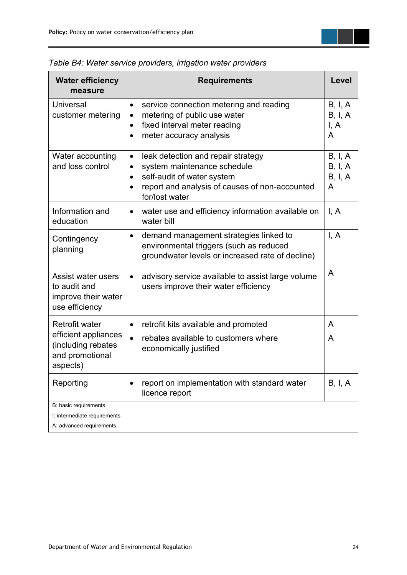| <b>Water efficiency</b><br>measure                                                                 | <b>Requirements</b>                                                                                                                                                                                                     | Level                              |
|----------------------------------------------------------------------------------------------------|-------------------------------------------------------------------------------------------------------------------------------------------------------------------------------------------------------------------------|------------------------------------|
| <b>Universal</b><br>customer metering                                                              | service connection metering and reading<br>$\bullet$<br>metering of public use water<br>$\bullet$<br>fixed interval meter reading<br>$\bullet$<br>meter accuracy analysis<br>$\bullet$                                  | B, I, A<br>B, I, A<br>I, A<br>A    |
| Water accounting<br>and loss control                                                               | leak detection and repair strategy<br>$\bullet$<br>system maintenance schedule<br>$\bullet$<br>self-audit of water system<br>$\bullet$<br>report and analysis of causes of non-accounted<br>$\bullet$<br>for/lost water | B, I, A<br>B, I, A<br>B, I, A<br>A |
| Information and<br>education                                                                       | water use and efficiency information available on<br>$\bullet$<br>water bill                                                                                                                                            | I, A                               |
| Contingency<br>planning                                                                            | demand management strategies linked to<br>$\bullet$<br>environmental triggers (such as reduced<br>groundwater levels or increased rate of decline)                                                                      | I, A                               |
| Assist water users<br>to audit and<br>improve their water<br>use efficiency                        | advisory service available to assist large volume<br>$\bullet$<br>users improve their water efficiency                                                                                                                  | A                                  |
| <b>Retrofit water</b><br>efficient appliances<br>(including rebates<br>and promotional<br>aspects) | retrofit kits available and promoted<br>$\bullet$<br>rebates available to customers where<br>economically justified                                                                                                     | A<br>A                             |
| Reporting                                                                                          | report on implementation with standard water<br>licence report                                                                                                                                                          | B, I, A                            |
| B: basic requirements<br>I: intermediate requirements<br>A: advanced requirements                  |                                                                                                                                                                                                                         |                                    |

*Table B4: Water service providers, irrigation water providers*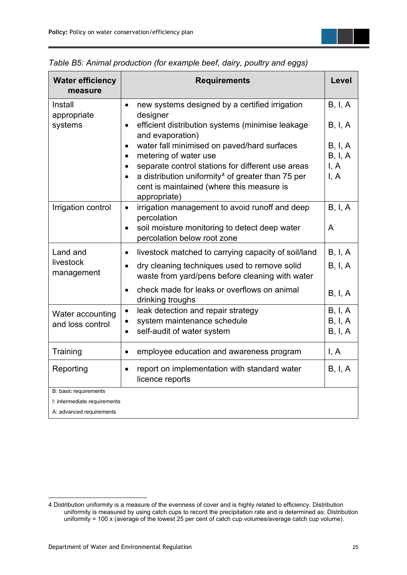

*Table B5: Animal production (for example beef, dairy, poultry and eggs)*

<span id="page-30-0"></span><sup>4</sup> Distribution uniformity is a measure of the evenness of cover and is highly related to efficiency. Distribution uniformity is measured by using catch cups to record the precipitation rate and is determined as: Distribution uniformity = 100 x (average of the lowest 25 per cent of catch cup volumes/average catch cup volume).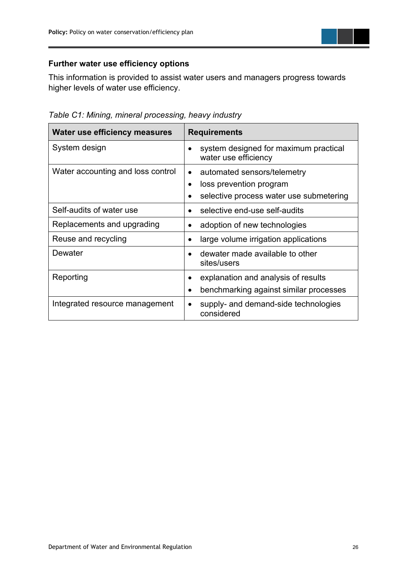

#### **Further water use efficiency options**

This information is provided to assist water users and managers progress towards higher levels of water use efficiency.

*Table C1: Mining, mineral processing, heavy industry* 

| Water use efficiency measures     | <b>Requirements</b>                                           |
|-----------------------------------|---------------------------------------------------------------|
| System design                     | system designed for maximum practical<br>water use efficiency |
| Water accounting and loss control | automated sensors/telemetry<br>$\bullet$                      |
|                                   | loss prevention program                                       |
|                                   | selective process water use submetering                       |
| Self-audits of water use          | selective end-use self-audits                                 |
| Replacements and upgrading        | adoption of new technologies                                  |
| Reuse and recycling               | large volume irrigation applications                          |
| Dewater                           | dewater made available to other<br>sites/users                |
| Reporting                         | explanation and analysis of results<br>$\bullet$              |
|                                   | benchmarking against similar processes<br>$\bullet$           |
| Integrated resource management    | supply- and demand-side technologies<br>considered            |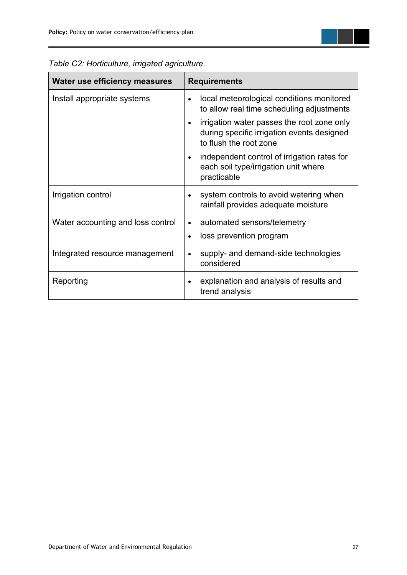

| Table C2: Horticulture, irrigated agriculture |  |  |
|-----------------------------------------------|--|--|
|-----------------------------------------------|--|--|

| Install appropriate systems       | local meteorological conditions monitored<br>to allow real time scheduling adjustments<br>irrigation water passes the root zone only<br>$\bullet$<br>during specific irrigation events designed<br>to flush the root zone<br>independent control of irrigation rates for<br>$\bullet$<br>each soil type/irrigation unit where<br>practicable |
|-----------------------------------|----------------------------------------------------------------------------------------------------------------------------------------------------------------------------------------------------------------------------------------------------------------------------------------------------------------------------------------------|
| Irrigation control                | system controls to avoid watering when<br>rainfall provides adequate moisture                                                                                                                                                                                                                                                                |
| Water accounting and loss control | automated sensors/telemetry<br>$\bullet$<br>loss prevention program<br>٠                                                                                                                                                                                                                                                                     |
| Integrated resource management    | supply- and demand-side technologies<br>$\bullet$<br>considered                                                                                                                                                                                                                                                                              |
| Reporting                         | explanation and analysis of results and<br>$\bullet$<br>trend analysis                                                                                                                                                                                                                                                                       |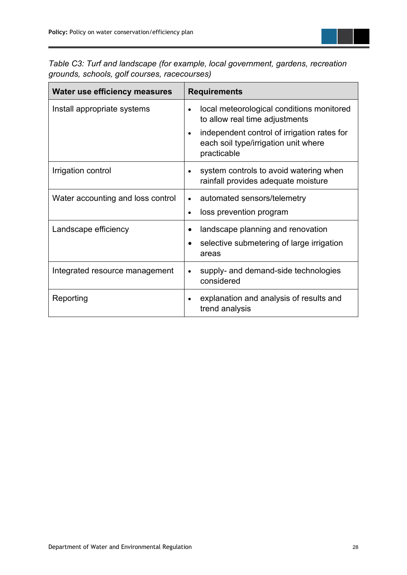

*Table C3: Turf and landscape (for example, local government, gardens, recreation grounds, schools, golf courses, racecourses)*

| <b>Water use efficiency measures</b> | <b>Requirements</b>                                                                                             |
|--------------------------------------|-----------------------------------------------------------------------------------------------------------------|
| Install appropriate systems          | local meteorological conditions monitored<br>to allow real time adjustments                                     |
|                                      | independent control of irrigation rates for<br>$\bullet$<br>each soil type/irrigation unit where<br>practicable |
| Irrigation control                   | system controls to avoid watering when<br>rainfall provides adequate moisture                                   |
| Water accounting and loss control    | automated sensors/telemetry                                                                                     |
|                                      | loss prevention program<br>$\bullet$                                                                            |
| Landscape efficiency                 | landscape planning and renovation                                                                               |
|                                      | selective submetering of large irrigation<br>areas                                                              |
| Integrated resource management       | supply- and demand-side technologies<br>$\bullet$<br>considered                                                 |
| Reporting                            | explanation and analysis of results and<br>trend analysis                                                       |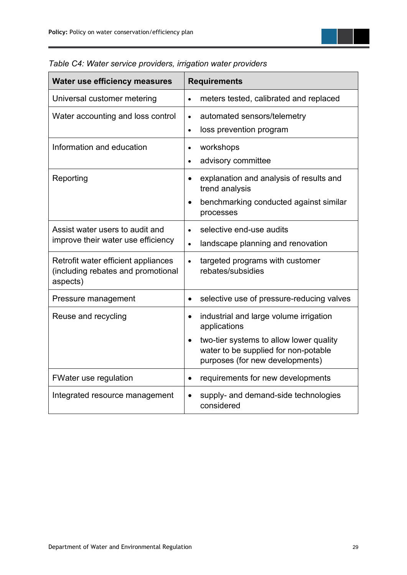

| Water use efficiency measures                                                         | <b>Requirements</b>                                                                                                                        |
|---------------------------------------------------------------------------------------|--------------------------------------------------------------------------------------------------------------------------------------------|
| Universal customer metering                                                           | meters tested, calibrated and replaced<br>$\bullet$                                                                                        |
| Water accounting and loss control                                                     | automated sensors/telemetry<br>$\bullet$<br>loss prevention program<br>$\bullet$                                                           |
| Information and education                                                             | workshops<br>$\bullet$<br>advisory committee<br>$\bullet$                                                                                  |
| Reporting                                                                             | explanation and analysis of results and<br>$\bullet$<br>trend analysis<br>benchmarking conducted against similar<br>$\bullet$<br>processes |
| Assist water users to audit and<br>improve their water use efficiency                 | selective end-use audits<br>$\bullet$<br>landscape planning and renovation<br>$\bullet$                                                    |
| Retrofit water efficient appliances<br>(including rebates and promotional<br>aspects) | targeted programs with customer<br>$\bullet$<br>rebates/subsidies                                                                          |
| Pressure management                                                                   | selective use of pressure-reducing valves<br>$\bullet$                                                                                     |
| Reuse and recycling                                                                   | industrial and large volume irrigation<br>$\bullet$<br>applications                                                                        |
|                                                                                       | two-tier systems to allow lower quality<br>$\bullet$<br>water to be supplied for non-potable<br>purposes (for new developments)            |
| <b>FWater use regulation</b>                                                          | requirements for new developments<br>$\bullet$                                                                                             |
| Integrated resource management                                                        | supply- and demand-side technologies<br>considered                                                                                         |

|  |  |  |  | Table C4: Water service providers, irrigation water providers |  |  |  |
|--|--|--|--|---------------------------------------------------------------|--|--|--|
|--|--|--|--|---------------------------------------------------------------|--|--|--|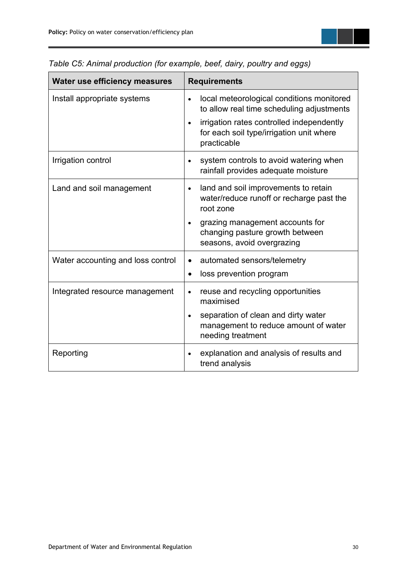

| Table C5: Animal production (for example, beef, dairy, poultry and eggs) |  |  |  |  |  |  |
|--------------------------------------------------------------------------|--|--|--|--|--|--|
|--------------------------------------------------------------------------|--|--|--|--|--|--|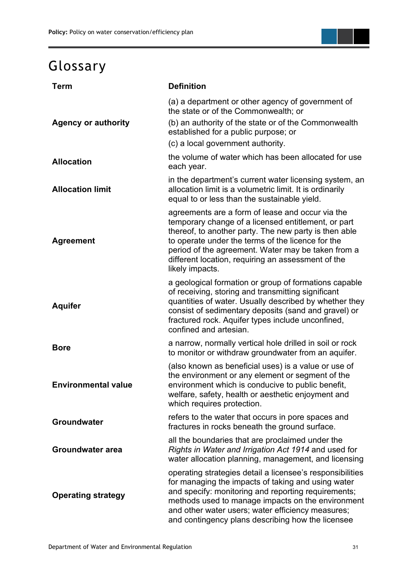## <span id="page-36-0"></span>Glossary

| <b>Term</b>                | <b>Definition</b>                                                                                                                                                                                                                                                                                                                                    |
|----------------------------|------------------------------------------------------------------------------------------------------------------------------------------------------------------------------------------------------------------------------------------------------------------------------------------------------------------------------------------------------|
| <b>Agency or authority</b> | (a) a department or other agency of government of<br>the state or of the Commonwealth; or<br>(b) an authority of the state or of the Commonwealth<br>established for a public purpose; or<br>(c) a local government authority.                                                                                                                       |
| <b>Allocation</b>          | the volume of water which has been allocated for use<br>each year.                                                                                                                                                                                                                                                                                   |
| <b>Allocation limit</b>    | in the department's current water licensing system, an<br>allocation limit is a volumetric limit. It is ordinarily<br>equal to or less than the sustainable yield.                                                                                                                                                                                   |
| <b>Agreement</b>           | agreements are a form of lease and occur via the<br>temporary change of a licensed entitlement, or part<br>thereof, to another party. The new party is then able<br>to operate under the terms of the licence for the<br>period of the agreement. Water may be taken from a<br>different location, requiring an assessment of the<br>likely impacts. |
| <b>Aquifer</b>             | a geological formation or group of formations capable<br>of receiving, storing and transmitting significant<br>quantities of water. Usually described by whether they<br>consist of sedimentary deposits (sand and gravel) or<br>fractured rock. Aquifer types include unconfined,<br>confined and artesian.                                         |
| <b>Bore</b>                | a narrow, normally vertical hole drilled in soil or rock<br>to monitor or withdraw groundwater from an aquifer.                                                                                                                                                                                                                                      |
| <b>Environmental value</b> | (also known as beneficial uses) is a value or use of<br>the environment or any element or segment of the<br>environment which is conducive to public benefit,<br>welfare, safety, health or aesthetic enjoyment and<br>which requires protection.                                                                                                    |
| <b>Groundwater</b>         | refers to the water that occurs in pore spaces and<br>fractures in rocks beneath the ground surface.                                                                                                                                                                                                                                                 |
| <b>Groundwater area</b>    | all the boundaries that are proclaimed under the<br>Rights in Water and Irrigation Act 1914 and used for<br>water allocation planning, management, and licensing                                                                                                                                                                                     |
| <b>Operating strategy</b>  | operating strategies detail a licensee's responsibilities<br>for managing the impacts of taking and using water<br>and specify: monitoring and reporting requirements;<br>methods used to manage impacts on the environment<br>and other water users; water efficiency measures;<br>and contingency plans describing how the licensee                |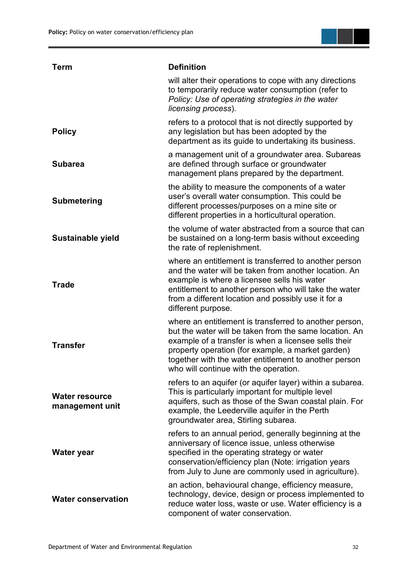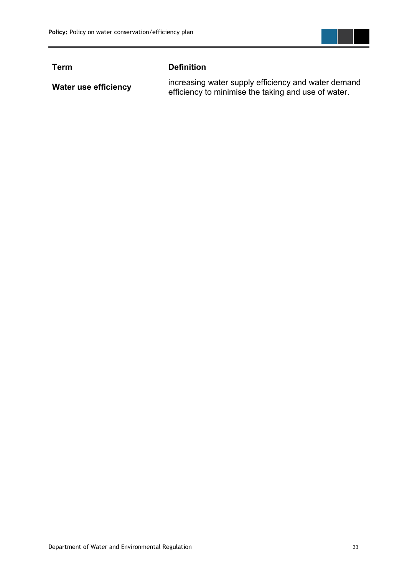

#### **Term Definition**

**Water use efficiency** increasing water supply efficiency and water demand<br>Afficiency to minimise the taking and use of water efficiency to minimise the taking and use of water.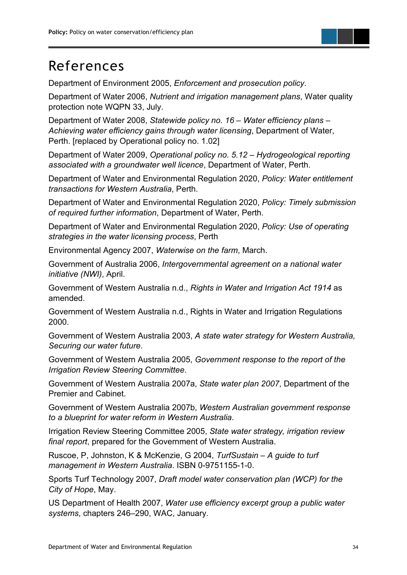<span id="page-39-0"></span>

Department of Environment 2005, *Enforcement and prosecution policy*.

Department of Water 2006, *Nutrient and irrigation management plans*, Water quality protection note WQPN 33, July.

Department of Water 2008, *Statewide policy no. 16 – Water efficiency plans – Achieving water efficiency gains through water licensing*, Department of Water, Perth. [replaced by Operational policy no. 1.02]

Department of Water 2009, *Operational policy no. 5.12 – Hydrogeological reporting associated with a groundwater well licence*, Department of Water, Perth.

Department of Water and Environmental Regulation 2020, *Policy: Water entitlement transactions for Western Australia*, Perth.

Department of Water and Environmental Regulation 2020, *Policy: Timely submission of required further information*, Department of Water, Perth.

Department of Water and Environmental Regulation 2020, *Policy: Use of operating strategies in the water licensing process*, Perth

Environmental Agency 2007, *Waterwise on the farm*, March.

Government of Australia 2006, *Intergovernmental agreement on a national water initiative (NWI)*, April.

Government of Western Australia n.d., *Rights in Water and Irrigation Act 1914* as amended.

Government of Western Australia n.d., Rights in Water and Irrigation Regulations 2000.

Government of Western Australia 2003, *A state water strategy for Western Australia, Securing our water future*.

Government of Western Australia 2005, *Government response to the report of the Irrigation Review Steering Committee*.

Government of Western Australia 2007a, *State water plan 2007*, Department of the Premier and Cabinet.

Government of Western Australia 2007b, *Western Australian government response to a blueprint for water reform in Western Australia*.

Irrigation Review Steering Committee 2005, *State water strategy, irrigation review final report*, prepared for the Government of Western Australia.

Ruscoe, P, Johnston, K & McKenzie, G 2004, *TurfSustain – A guide to turf management in Western Australia*. ISBN 0-9751155-1-0.

Sports Turf Technology 2007, *Draft model water conservation plan (WCP) for the City of Hope*, May.

US Department of Health 2007, *Water use efficiency excerpt group a public water systems*, chapters 246–290, WAC, January.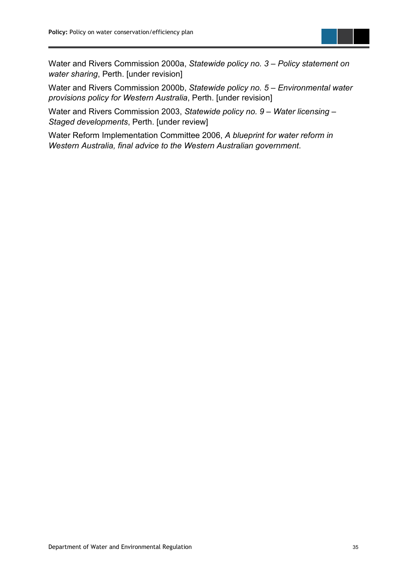

Water and Rivers Commission 2000a, *Statewide policy no. 3 – Policy statement on water sharing*, Perth. [under revision]

Water and Rivers Commission 2000b, *Statewide policy no. 5 – Environmental water provisions policy for Western Australia*, Perth. [under revision]

Water and Rivers Commission 2003, *Statewide policy no. 9 – Water licensing – Staged developments*, Perth. [under review]

Water Reform Implementation Committee 2006, *A blueprint for water reform in Western Australia, final advice to the Western Australian government*.